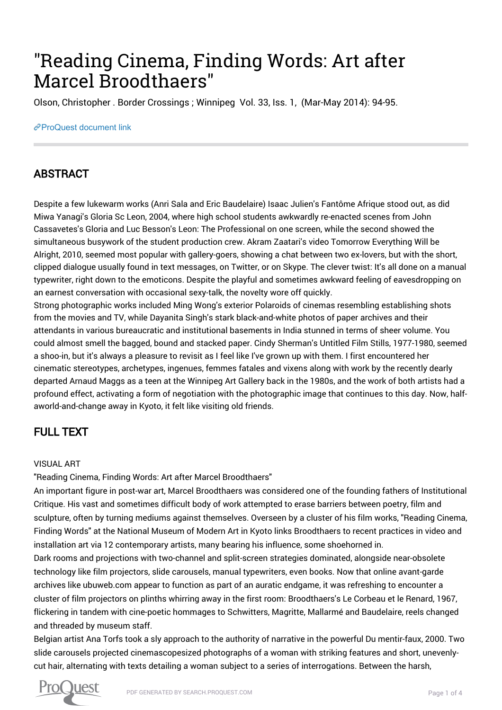# "Reading Cinema, Finding Words: Art after Marcel Broodthaers"

Olson, Christopher . Border Crossings ; Winnipeg Vol. 33, Iss. 1, (Mar-May 2014): 94-95.

#### [ProQuest document link](https://search.proquest.com/docview/1513547230?accountid=27483)

## ABSTRACT

Despite a few lukewarm works (Anri Sala and Eric Baudelaire) Isaac Julien's Fantôme Afrique stood out, as did Miwa Yanagi's Gloria Sc Leon, 2004, where high school students awkwardly re-enacted scenes from John Cassavetes's Gloria and Luc Besson's Leon: The Professional on one screen, while the second showed the simultaneous busywork of the student production crew. Akram Zaatari's video Tomorrow Everything Will be Alright, 2010, seemed most popular with gallery-goers, showing a chat between two ex-lovers, but with the short, clipped dialogue usually found in text messages, on Twitter, or on Skype. The clever twist: It's all done on a manual typewriter, right down to the emoticons. Despite the playful and sometimes awkward feeling of eavesdropping on an earnest conversation with occasional sexy-talk, the novelty wore off quickly.

Strong photographic works included Ming Wong's exterior Polaroids of cinemas resembling establishing shots from the movies and TV, while Dayanita Singh's stark black-and-white photos of paper archives and their attendants in various bureaucratic and institutional basements in India stunned in terms of sheer volume. You could almost smell the bagged, bound and stacked paper. Cindy Sherman's Untitled Film Stills, 1977-1980, seemed a shoo-in, but it's always a pleasure to revisit as I feel like I've grown up with them. I first encountered her cinematic stereotypes, archetypes, ingenues, femmes fatales and vixens along with work by the recently dearly departed Arnaud Maggs as a teen at the Winnipeg Art Gallery back in the 1980s, and the work of both artists had a profound effect, activating a form of negotiation with the photographic image that continues to this day. Now, halfaworld-and-change away in Kyoto, it felt like visiting old friends.

# FULL TEXT

#### VISUAL ART

"Reading Cinema, Finding Words: Art after Marcel Broodthaers"

An important figure in post-war art, Marcel Broodthaers was considered one of the founding fathers of Institutional Critique. His vast and sometimes difficult body of work attempted to erase barriers between poetry, film and sculpture, often by turning mediums against themselves. Overseen by a cluster of his film works, "Reading Cinema, Finding Words" at the National Museum of Modern Art in Kyoto links Broodthaers to recent practices in video and installation art via 12 contemporary artists, many bearing his influence, some shoehorned in.

Dark rooms and projections with two-channel and split-screen strategies dominated, alongside near-obsolete technology like film projectors, slide carousels, manual typewriters, even books. Now that online avant-garde archives like ubuweb.com appear to function as part of an auratic endgame, it was refreshing to encounter a cluster of film projectors on plinths whirring away in the first room: Broodthaers's Le Corbeau et le Renard, 1967, flickering in tandem with cine-poetic hommages to Schwitters, Magritte, Mallarmé and Baudelaire, reels changed and threaded by museum staff.

Belgian artist Ana Torfs took a sly approach to the authority of narrative in the powerful Du mentir-faux, 2000. Two slide carousels projected cinemascopesized photographs of a woman with striking features and short, unevenlycut hair, alternating with texts detailing a woman subject to a series of interrogations. Between the harsh,

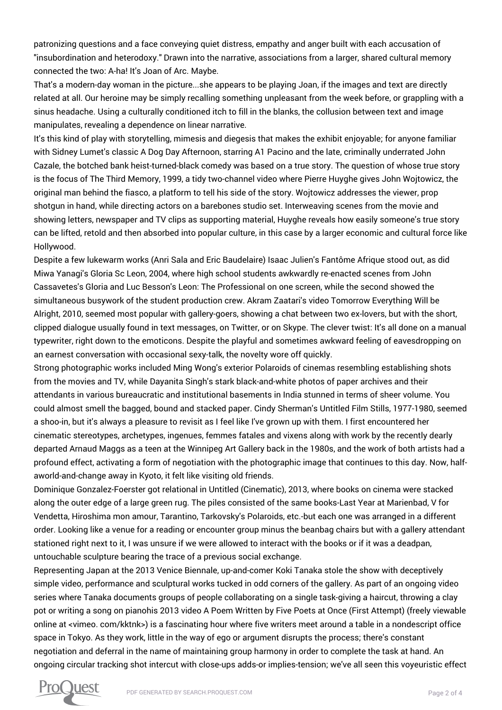patronizing questions and a face conveying quiet distress, empathy and anger built with each accusation of "insubordination and heterodoxy." Drawn into the narrative, associations from a larger, shared cultural memory connected the two: A-ha! It's Joan of Arc. Maybe.

That's a modern-day woman in the picture...she appears to be playing Joan, if the images and text are directly related at all. Our heroine may be simply recalling something unpleasant from the week before, or grappling with a sinus headache. Using a culturally conditioned itch to fill in the blanks, the collusion between text and image manipulates, revealing a dependence on linear narrative.

It's this kind of play with storytelling, mimesis and diegesis that makes the exhibit enjoyable; for anyone familiar with Sidney Lumet's classic A Dog Day Afternoon, starring A1 Pacino and the late, criminally underrated John Cazale, the botched bank heist-turned-black comedy was based on a true story. The question of whose true story is the focus of The Third Memory, 1999, a tidy two-channel video where Pierre Huyghe gives John Wojtowicz, the original man behind the fiasco, a platform to tell his side of the story. Wojtowicz addresses the viewer, prop shotgun in hand, while directing actors on a barebones studio set. Interweaving scenes from the movie and showing letters, newspaper and TV clips as supporting material, Huyghe reveals how easily someone's true story can be lifted, retold and then absorbed into popular culture, in this case by a larger economic and cultural force like Hollywood.

Despite a few lukewarm works (Anri Sala and Eric Baudelaire) Isaac Julien's Fantôme Afrique stood out, as did Miwa Yanagi's Gloria Sc Leon, 2004, where high school students awkwardly re-enacted scenes from John Cassavetes's Gloria and Luc Besson's Leon: The Professional on one screen, while the second showed the simultaneous busywork of the student production crew. Akram Zaatari's video Tomorrow Everything Will be Alright, 2010, seemed most popular with gallery-goers, showing a chat between two ex-lovers, but with the short, clipped dialogue usually found in text messages, on Twitter, or on Skype. The clever twist: It's all done on a manual typewriter, right down to the emoticons. Despite the playful and sometimes awkward feeling of eavesdropping on an earnest conversation with occasional sexy-talk, the novelty wore off quickly.

Strong photographic works included Ming Wong's exterior Polaroids of cinemas resembling establishing shots from the movies and TV, while Dayanita Singh's stark black-and-white photos of paper archives and their attendants in various bureaucratic and institutional basements in India stunned in terms of sheer volume. You could almost smell the bagged, bound and stacked paper. Cindy Sherman's Untitled Film Stills, 1977-1980, seemed a shoo-in, but it's always a pleasure to revisit as I feel like I've grown up with them. I first encountered her cinematic stereotypes, archetypes, ingenues, femmes fatales and vixens along with work by the recently dearly departed Arnaud Maggs as a teen at the Winnipeg Art Gallery back in the 1980s, and the work of both artists had a profound effect, activating a form of negotiation with the photographic image that continues to this day. Now, halfaworld-and-change away in Kyoto, it felt like visiting old friends.

Dominique Gonzalez-Foerster got relational in Untitled (Cinematic), 2013, where books on cinema were stacked along the outer edge of a large green rug. The piles consisted of the same books-Last Year at Marienbad, V for Vendetta, Hiroshima mon amour, Tarantino, Tarkovsky's Polaroids, etc.-but each one was arranged in a different order. Looking like a venue for a reading or encounter group minus the beanbag chairs but with a gallery attendant stationed right next to it, I was unsure if we were allowed to interact with the books or if it was a deadpan, untouchable sculpture bearing the trace of a previous social exchange.

Representing Japan at the 2013 Venice Biennale, up-and-comer Koki Tanaka stole the show with deceptively simple video, performance and sculptural works tucked in odd corners of the gallery. As part of an ongoing video series where Tanaka documents groups of people collaborating on a single task-giving a haircut, throwing a clay pot or writing a song on pianohis 2013 video A Poem Written by Five Poets at Once (First Attempt) (freely viewable online at <vimeo. com/kktnk>) is a fascinating hour where five writers meet around a table in a nondescript office space in Tokyo. As they work, little in the way of ego or argument disrupts the process; there's constant negotiation and deferral in the name of maintaining group harmony in order to complete the task at hand. An ongoing circular tracking shot intercut with close-ups adds-or implies-tension; we've all seen this voyeuristic effect

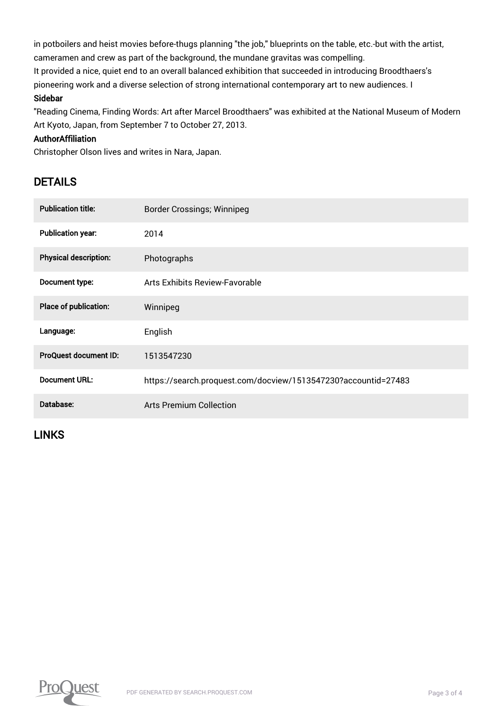in potboilers and heist movies before-thugs planning "the job," blueprints on the table, etc.-but with the artist, cameramen and crew as part of the background, the mundane gravitas was compelling. It provided a nice, quiet end to an overall balanced exhibition that succeeded in introducing Broodthaers's pioneering work and a diverse selection of strong international contemporary art to new audiences. I Sidebar

"Reading Cinema, Finding Words: Art after Marcel Broodthaers" was exhibited at the National Museum of Modern Art Kyoto, Japan, from September 7 to October 27, 2013.

#### AuthorAffiliation

Christopher Olson lives and writes in Nara, Japan.

## DETAILS

| <b>Publication title:</b>    | <b>Border Crossings; Winnipeg</b>                              |
|------------------------------|----------------------------------------------------------------|
| <b>Publication year:</b>     | 2014                                                           |
| <b>Physical description:</b> | Photographs                                                    |
| Document type:               | Arts Exhibits Review-Favorable                                 |
| Place of publication:        | Winnipeg                                                       |
| Language:                    | English                                                        |
| ProQuest document ID:        | 1513547230                                                     |
| <b>Document URL:</b>         | https://search.proquest.com/docview/1513547230?accountid=27483 |
| Database:                    | Arts Premium Collection                                        |

### LINKS